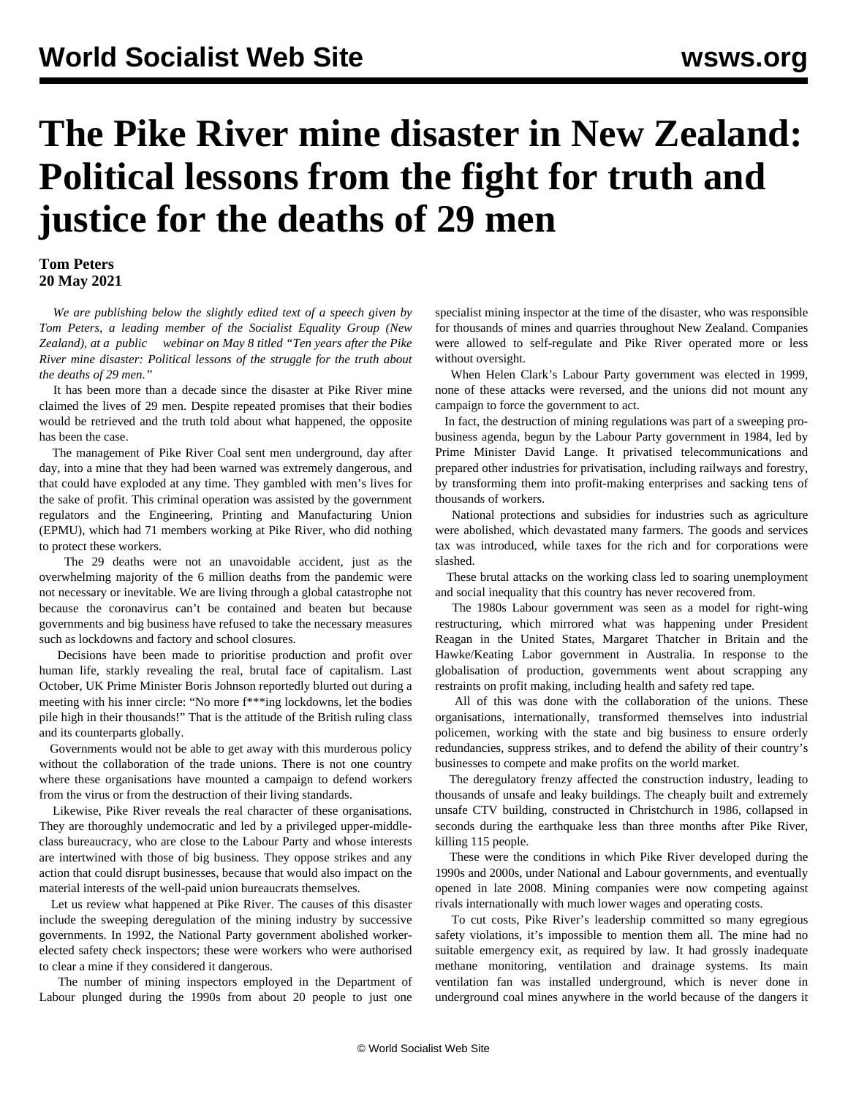## **The Pike River mine disaster in New Zealand: Political lessons from the fight for truth and justice for the deaths of 29 men**

## **Tom Peters 20 May 2021**

 *We are publishing below the slightly edited text of a speech given by Tom Peters, a leading member of the Socialist Equality Group (New Zealand), at a [public](/en/articles/2021/05/12/pike-m12.html) [webinar](/en/articles/2021/05/12/pike-m12.html) on May 8 titled "Ten years after the Pike River mine disaster: Political lessons of the struggle for the truth about the deaths of 29 men."*

 It has been more than a decade since the disaster at Pike River mine claimed the lives of 29 men. Despite repeated promises that their bodies would be retrieved and the truth told about what happened, the opposite has been the case.

 The management of Pike River Coal sent men underground, day after day, into a mine that they had been warned was extremely dangerous, and that could have exploded at any time. They gambled with men's lives for the sake of profit. This criminal operation was assisted by the government regulators and the Engineering, Printing and Manufacturing Union (EPMU), which had 71 members working at Pike River, who did nothing to protect these workers.

 The 29 deaths were not an unavoidable accident, just as the overwhelming majority of the 6 million deaths from the pandemic were not necessary or inevitable. We are living through a global catastrophe not because the coronavirus can't be contained and beaten but because governments and big business have refused to take the necessary measures such as lockdowns and factory and school closures.

 Decisions have been made to prioritise production and profit over human life, starkly revealing the real, brutal face of capitalism. Last October, UK Prime Minister Boris Johnson reportedly blurted out during a meeting with his inner circle: "No more f\*\*\*ing lockdowns, let the bodies pile high in their thousands!" That is the attitude of the British ruling class and its counterparts globally.

 Governments would not be able to get away with this murderous policy without the collaboration of the trade unions. There is not one country where these organisations have mounted a campaign to defend workers from the virus or from the destruction of their living standards.

 Likewise, Pike River reveals the real character of these organisations. They are thoroughly undemocratic and led by a privileged upper-middleclass bureaucracy, who are close to the Labour Party and whose interests are intertwined with those of big business. They oppose strikes and any action that could disrupt businesses, because that would also impact on the material interests of the well-paid union bureaucrats themselves.

 Let us review what happened at Pike River. The causes of this disaster include the sweeping deregulation of the mining industry by successive governments. In 1992, the National Party government abolished workerelected safety check inspectors; these were workers who were authorised to clear a mine if they considered it dangerous.

 The number of mining inspectors employed in the Department of Labour plunged during the 1990s from about 20 people to just one specialist mining inspector at the time of the disaster, who was responsible for thousands of mines and quarries throughout New Zealand. Companies were allowed to self-regulate and Pike River operated more or less without oversight.

 When Helen Clark's Labour Party government was elected in 1999, none of these attacks were reversed, and the unions did not mount any campaign to force the government to act.

 In fact, the destruction of mining regulations was part of a sweeping probusiness agenda, begun by the Labour Party government in 1984, led by Prime Minister David Lange. It privatised telecommunications and prepared other industries for privatisation, including railways and forestry, by transforming them into profit-making enterprises and sacking tens of thousands of workers.

 National protections and subsidies for industries such as agriculture were abolished, which devastated many farmers. The goods and services tax was introduced, while taxes for the rich and for corporations were slashed.

 These brutal attacks on the working class led to soaring unemployment and social inequality that this country has never recovered from.

 The 1980s Labour government was seen as a model for right-wing restructuring, which mirrored what was happening under President Reagan in the United States, Margaret Thatcher in Britain and the Hawke/Keating Labor government in Australia. In response to the globalisation of production, governments went about scrapping any restraints on profit making, including health and safety red tape.

 All of this was done with the collaboration of the unions. These organisations, internationally, transformed themselves into industrial policemen, working with the state and big business to ensure orderly redundancies, suppress strikes, and to defend the ability of their country's businesses to compete and make profits on the world market.

 The deregulatory frenzy affected the construction industry, leading to thousands of unsafe and leaky buildings. The cheaply built and extremely unsafe CTV building, constructed in Christchurch in 1986, collapsed in seconds during the earthquake less than three months after Pike River, killing 115 people.

 These were the conditions in which Pike River developed during the 1990s and 2000s, under National and Labour governments, and eventually opened in late 2008. Mining companies were now competing against rivals internationally with much lower wages and operating costs.

 To cut costs, Pike River's leadership committed so many egregious safety violations, it's impossible to mention them all. The mine had no suitable emergency exit, as required by law. It had grossly inadequate methane monitoring, ventilation and drainage systems. Its main ventilation fan was installed underground, which is never done in underground coal mines anywhere in the world because of the dangers it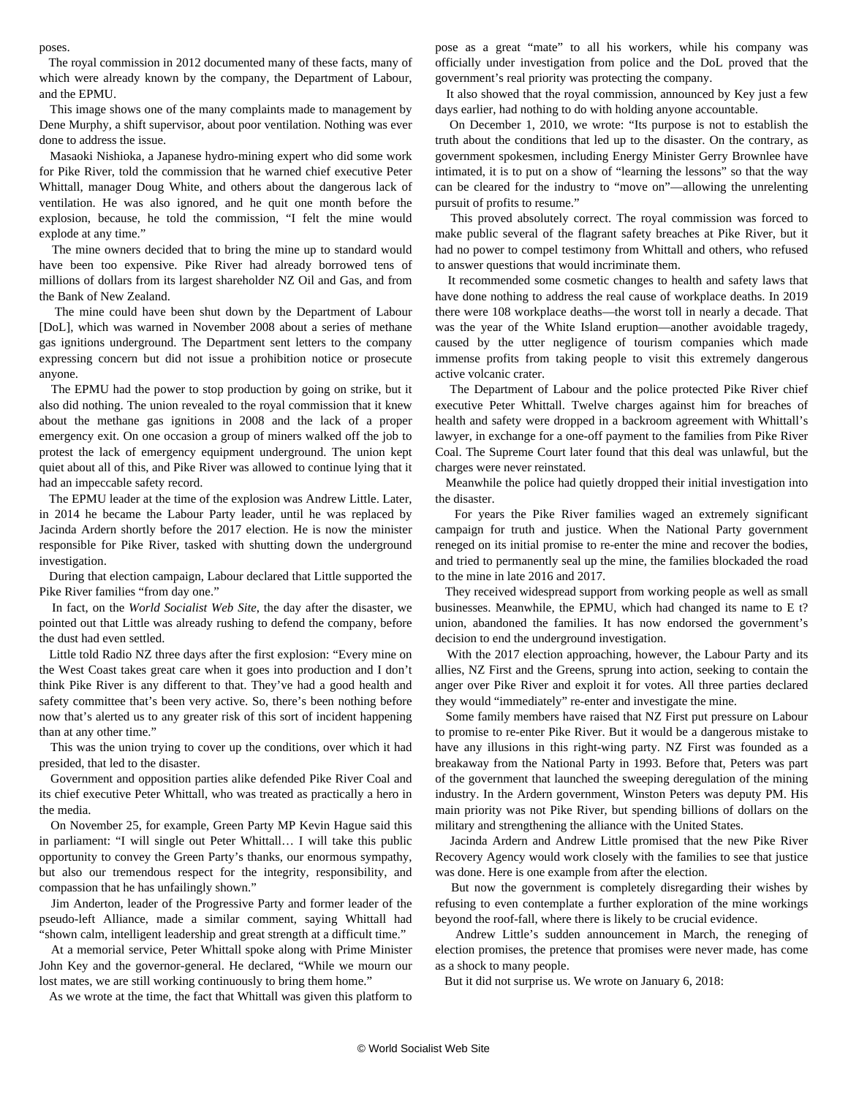poses.

 The royal commission in 2012 documented many of these facts, many of which were already known by the company, the Department of Labour, and the EPMU.

 [This image](https://nzhistory.govt.nz/media/photo/incident-form) shows one of the many complaints made to management by Dene Murphy, a shift supervisor, about poor ventilation. Nothing was ever done to address the issue.

 Masaoki Nishioka, a Japanese hydro-mining expert who did some work for Pike River, told the commission that he warned chief executive Peter Whittall, manager Doug White, and others about the dangerous lack of ventilation. He was also ignored, and he quit one month before the explosion, because, he told the commission, "I felt the mine would explode at any time."

 The mine owners decided that to bring the mine up to standard would have been too expensive. Pike River had already borrowed tens of millions of dollars from its largest shareholder NZ Oil and Gas, and from the Bank of New Zealand.

 The mine could have been shut down by the Department of Labour [DoL], which was warned in November 2008 about a series of methane gas ignitions underground. The Department sent letters to the company expressing concern but did not issue a prohibition notice or prosecute anyone.

 The EPMU had the power to stop production by going on strike, but it also did nothing. The union revealed to the royal commission that it knew about the methane gas ignitions in 2008 and the lack of a proper emergency exit. On one occasion a group of miners walked off the job to protest the lack of emergency equipment underground. The union kept quiet about all of this, and Pike River was allowed to continue lying that it had an impeccable safety record.

 The EPMU leader at the time of the explosion was Andrew Little. Later, in 2014 he became the Labour Party leader, until he was replaced by Jacinda Ardern shortly before the 2017 election. He is now the minister responsible for Pike River, tasked with shutting down the underground investigation.

 During that election campaign, Labour declared that Little supported the Pike River families "from day one."

 In fact, on the *World Socialist Web Site*, the day after the disaster, we pointed out that Little was already rushing to defend the company, before the dust had even settled.

 Little told [Radio NZ](https://www.rnz.co.nz/national/programmes/morningreport/audio/2435109/miners) three days after the first explosion: "Every mine on the West Coast takes great care when it goes into production and I don't think Pike River is any different to that. They've had a good health and safety committee that's been very active. So, there's been nothing before now that's alerted us to any greater risk of this sort of incident happening than at any other time."

 This was the union trying to cover up the conditions, over which it had presided, that led to the disaster.

 Government and opposition parties alike defended Pike River Coal and its chief executive Peter Whittall, who was treated as practically a hero in the media.

 On November 25, for example, Green Party MP Kevin Hague said this in parliament: "I will single out Peter Whittall… I will take this public opportunity to convey the Green Party's thanks, our enormous sympathy, but also our tremendous respect for the integrity, responsibility, and compassion that he has unfailingly shown."

 Jim Anderton, leader of the Progressive Party and former leader of the pseudo-left Alliance, made a similar comment, saying Whittall had "shown calm, intelligent leadership and great strength at a difficult time."

 At a memorial service, Peter Whittall spoke along with Prime Minister John Key and the governor-general. He declared, "While we mourn our lost mates, we are still working continuously to bring them home."

As we wrote at the time, the fact that Whittall was given this platform to

pose as a great "mate" to all his workers, while his company was officially under investigation from police and the DoL proved that the government's real priority was protecting the company.

 It also showed that the royal commission, announced by Key just a few days earlier, had nothing to do with holding anyone accountable.

 On December 1, 2010, [we wrote](/en/articles/2010/12/mine-d01.html): "Its purpose is not to establish the truth about the conditions that led up to the disaster. On the contrary, as government spokesmen, including Energy Minister Gerry Brownlee have intimated, it is to put on a show of "learning the lessons" so that the way can be cleared for the industry to "move on"—allowing the unrelenting pursuit of profits to resume."

 This proved absolutely correct. The royal commission was forced to make public several of the flagrant safety breaches at Pike River, but it had no power to compel testimony from Whittall and others, who refused to answer questions that would incriminate them.

 It recommended some cosmetic changes to health and safety laws that have done nothing to address the real cause of workplace deaths. In 2019 there were 108 workplace deaths—the worst toll in nearly a decade. That was the year of the White Island eruption—another avoidable tragedy, caused by the utter negligence of tourism companies which made immense profits from taking people to visit this extremely dangerous active volcanic crater.

 The Department of Labour and the police protected Pike River chief executive Peter Whittall. Twelve charges against him for breaches of health and safety were dropped in a backroom agreement with Whittall's lawyer, in exchange for a one-off payment to the families from Pike River Coal. The Supreme Court later found that this deal was unlawful, but the charges were never reinstated.

 Meanwhile the police had quietly dropped their initial investigation into the disaster.

 For years the Pike River families waged an extremely significant campaign for truth and justice. When the National Party government reneged on its initial promise to re-enter the mine and recover the bodies, and tried to permanently seal up the mine, the families blockaded the road to the mine in late 2016 and 2017.

 They received widespread support from working people as well as small businesses. Meanwhile, the EPMU, which had changed its name to E t? union, abandoned the families. It has now endorsed the government's decision to end the underground investigation.

 With the 2017 election approaching, however, the Labour Party and its allies, NZ First and the Greens, sprung into action, seeking to contain the anger over Pike River and exploit it for votes. All three parties declared they would "immediately" re-enter and investigate the mine.

 Some family members have raised that NZ First put pressure on Labour to promise to re-enter Pike River. But it would be a dangerous mistake to have any illusions in this right-wing party. NZ First was founded as a breakaway from the National Party in 1993. Before that, Peters was part of the government that launched the sweeping deregulation of the mining industry. In the Ardern government, Winston Peters was deputy PM. His main priority was not Pike River, but spending billions of dollars on the military and strengthening the alliance with the United States.

 Jacinda Ardern and Andrew Little promised that the new Pike River Recovery Agency would work closely with the families to see that justice was done. Here is one example from after the election.

 But now the government is completely disregarding their wishes by refusing to even contemplate a further exploration of the mine workings beyond the roof-fall, where there is likely to be crucial evidence.

 Andrew Little's sudden announcement in March, the reneging of election promises, the pretence that promises were never made, has come as a shock to many people.

But it did not surprise us. We [wrote](/en/articles/2018/01/06/pike-j06.html) on January 6, 2018: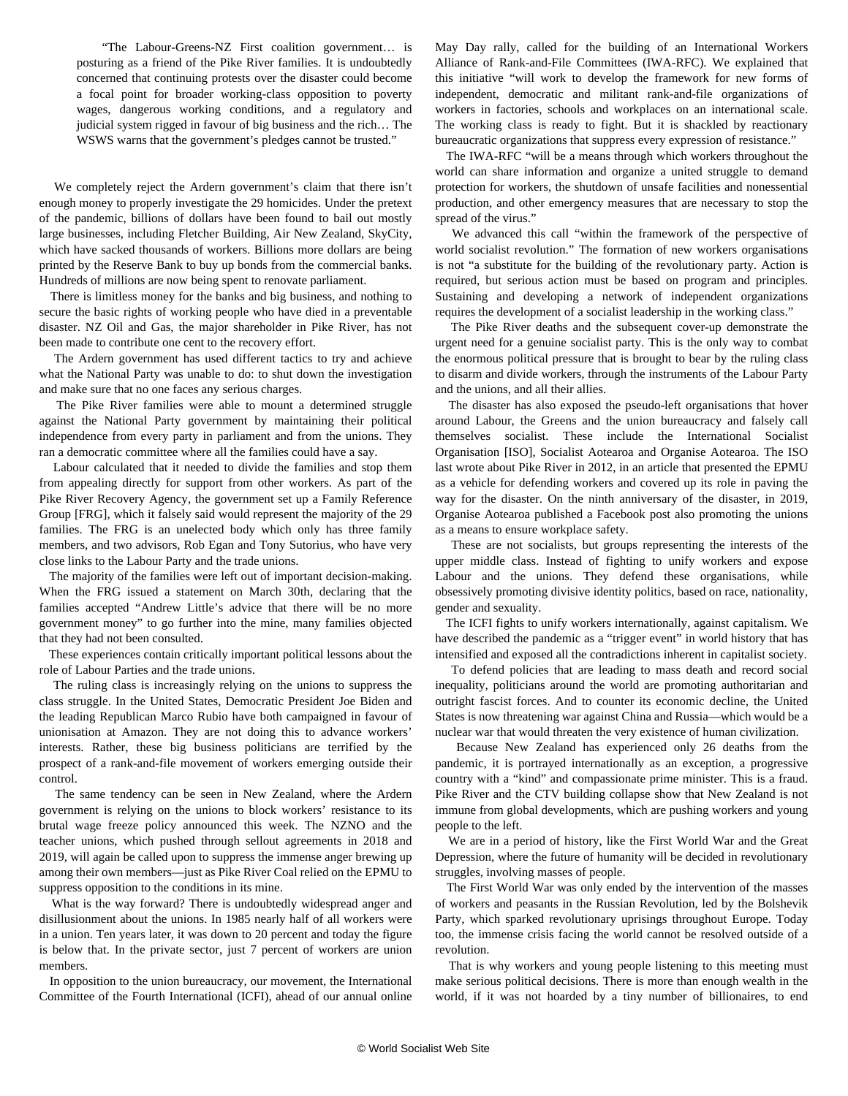"The Labour-Greens-NZ First coalition government… is posturing as a friend of the Pike River families. It is undoubtedly concerned that continuing protests over the disaster could become a focal point for broader working-class opposition to poverty wages, dangerous working conditions, and a regulatory and judicial system rigged in favour of big business and the rich… The WSWS warns that the government's pledges cannot be trusted."

 We completely reject the Ardern government's claim that there isn't enough money to properly investigate the 29 homicides. Under the pretext of the pandemic, billions of dollars have been found to bail out mostly large businesses, including Fletcher Building, Air New Zealand, SkyCity, which have sacked thousands of workers. Billions more dollars are being printed by the Reserve Bank to buy up bonds from the commercial banks. Hundreds of millions are now being spent to renovate parliament.

 There is limitless money for the banks and big business, and nothing to secure the basic rights of working people who have died in a preventable disaster. NZ Oil and Gas, the major shareholder in Pike River, has not been made to contribute one cent to the recovery effort.

 The Ardern government has used different tactics to try and achieve what the National Party was unable to do: to shut down the investigation and make sure that no one faces any serious charges.

 The Pike River families were able to mount a determined struggle against the National Party government by maintaining their political independence from every party in parliament and from the unions. They ran a democratic committee where all the families could have a say.

 Labour calculated that it needed to divide the families and stop them from appealing directly for support from other workers. As part of the Pike River Recovery Agency, the government set up a Family Reference Group [FRG], which it falsely said would represent the majority of the 29 families. The FRG is an unelected body which only has three family members, and two advisors, Rob Egan and Tony Sutorius, who have very close links to the Labour Party and the trade unions.

 The majority of the families were left out of important decision-making. When the FRG issued a statement on March 30th, declaring that the families accepted "Andrew Little's advice that there will be no more government money" to go further into the mine, many families objected that they had not been consulted.

 These experiences contain critically important political lessons about the role of Labour Parties and the trade unions.

 The ruling class is increasingly relying on the unions to suppress the class struggle. In the United States, Democratic President Joe Biden and the leading Republican Marco Rubio have both campaigned in favour of unionisation at Amazon. They are not doing this to advance workers' interests. Rather, these big business politicians are terrified by the prospect of a rank-and-file movement of workers emerging outside their control.

 The same tendency can be seen in New Zealand, where the Ardern government is relying on the unions to block workers' resistance to its brutal wage freeze policy announced this week. The NZNO and the teacher unions, which pushed through sellout agreements in 2018 and 2019, will again be called upon to suppress the immense anger brewing up among their own members—just as Pike River Coal relied on the EPMU to suppress opposition to the conditions in its mine.

 What is the way forward? There is undoubtedly widespread anger and disillusionment about the unions. In 1985 nearly half of all workers were in a union. Ten years later, it was down to 20 percent and today the figure is below that. In the private sector, just 7 percent of workers are union members.

 In opposition to the union bureaucracy, our movement, the International Committee of the Fourth International (ICFI), ahead of our annual online May Day rally, called for the building of an International Workers Alliance of Rank-and-File Committees (IWA-RFC). We [explained](/en/articles/2021/04/24/pers-a24.html) that this initiative "will work to develop the framework for new forms of independent, democratic and militant rank-and-file organizations of workers in factories, schools and workplaces on an international scale. The working class is ready to fight. But it is shackled by reactionary bureaucratic organizations that suppress every expression of resistance."

 The IWA-RFC "will be a means through which workers throughout the world can share information and organize a united struggle to demand protection for workers, the shutdown of unsafe facilities and nonessential production, and other emergency measures that are necessary to stop the spread of the virus."

 We advanced this call "within the framework of the perspective of world socialist revolution." The formation of new workers organisations is not "a substitute for the building of the revolutionary party. Action is required, but serious action must be based on program and principles. Sustaining and developing a network of independent organizations requires the development of a socialist leadership in the working class."

 The Pike River deaths and the subsequent cover-up demonstrate the urgent need for a genuine socialist party. This is the only way to combat the enormous political pressure that is brought to bear by the ruling class to disarm and divide workers, through the instruments of the Labour Party and the unions, and all their allies.

 The disaster has also exposed the pseudo-left organisations that hover around Labour, the Greens and the union bureaucracy and falsely call themselves socialist. These include the International Socialist Organisation [ISO], Socialist Aotearoa and Organise Aotearoa. The ISO last wrote about Pike River in 2012, in an article that presented the EPMU as a vehicle for defending workers and covered up its role in paving the way for the disaster. On the ninth anniversary of the disaster, in 2019, Organise Aotearoa published a Facebook post also promoting the unions as a means to ensure workplace safety.

 These are not socialists, but groups representing the interests of the upper middle class. Instead of fighting to unify workers and expose Labour and the unions. They defend these organisations, while obsessively promoting divisive identity politics, based on race, nationality, gender and sexuality.

 The ICFI fights to unify workers internationally, against capitalism. We have described the pandemic as a "trigger event" in world history that has intensified and exposed all the contradictions inherent in capitalist society.

 To defend policies that are leading to mass death and record social inequality, politicians around the world are promoting authoritarian and outright fascist forces. And to counter its economic decline, the United States is now threatening war against China and Russia—which would be a nuclear war that would threaten the very existence of human civilization.

 Because New Zealand has experienced only 26 deaths from the pandemic, it is portrayed internationally as an exception, a progressive country with a "kind" and compassionate prime minister. This is a fraud. Pike River and the CTV building collapse show that New Zealand is not immune from global developments, which are pushing workers and young people to the left.

 We are in a period of history, like the First World War and the Great Depression, where the future of humanity will be decided in revolutionary struggles, involving masses of people.

 The First World War was only ended by the intervention of the masses of workers and peasants in the Russian Revolution, led by the Bolshevik Party, which sparked revolutionary uprisings throughout Europe. Today too, the immense crisis facing the world cannot be resolved outside of a revolution.

 That is why workers and young people listening to this meeting must make serious political decisions. There is more than enough wealth in the world, if it was not hoarded by a tiny number of billionaires, to end